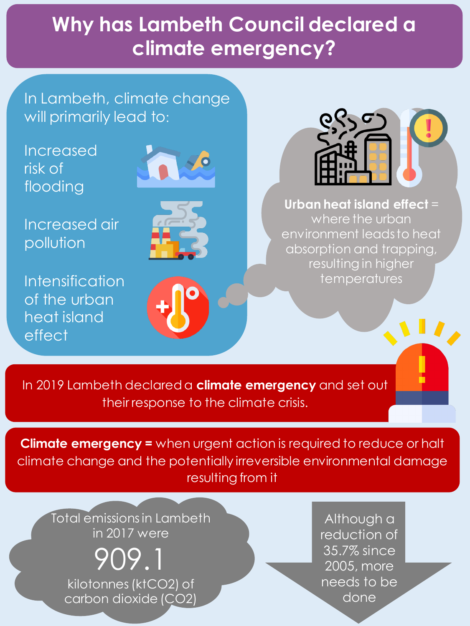### **Why has Lambeth Council declared a climate emergency?**

In Lambeth, climate change will primarily lead to:

Increased risk of flooding

Increased air pollution

Intensification of the urban heat island effect







**Urban heat island effect** = where the urban environment leads to heat absorption and trapping, resulting in higher temperatures

In 2019 Lambeth declared a **climate emergency** and set out their response to the climate crisis.

**Climate emergency =** when urgent action is required to reduce or halt climate change and the potentially irreversible environmental damage resulting from it

Total emissions in Lambeth in 2017 were

909.1 kilotonnes(ktCO2) of carbon dioxide (CO2)

Although a reduction of 35.7% since 2005, more needs to be done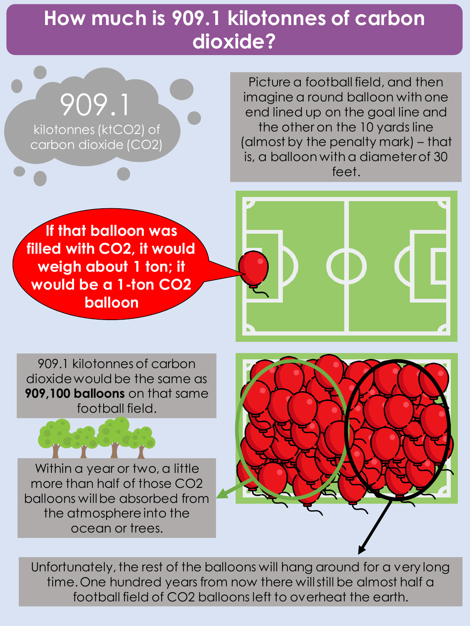### **How much is 909.1 kilotonnes of carbon dioxide?**

909.1 kilotonnes(ktCO2) of carbon dioxide (CO2)

Picture a football field, and then imagine a round balloon with one end lined up on the goal line and the other on the 10 yards line (almost by the penalty mark) – that is, a balloon with a diameter of 30 feet.

**If that balloon was filled with CO2, it would weigh about 1 ton; it would be a 1-ton CO2 balloon**

909.1 kilotonnes of carbon dioxide would be the same as **909,100 balloons** on that same football field.

Within a year or two, a little more than half of those CO2 balloons will be absorbed from the atmosphere into the ocean or trees.



Unfortunately, the rest of the balloons will hang around for a very long time. One hundred years from now there will still be almost half a football field of CO2 balloons left to overheat the earth.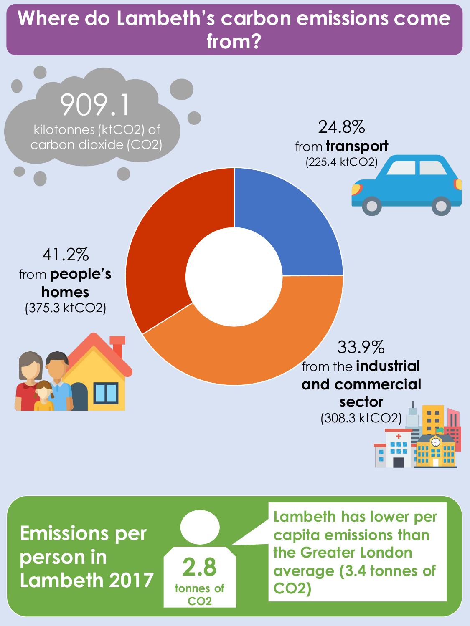### **Where do Lambeth's carbon emissions come from?**



**Emissions per person in Lambeth 2017**



**Lambeth has lower per capita emissions than the Greater London average (3.4 tonnes of CO2)**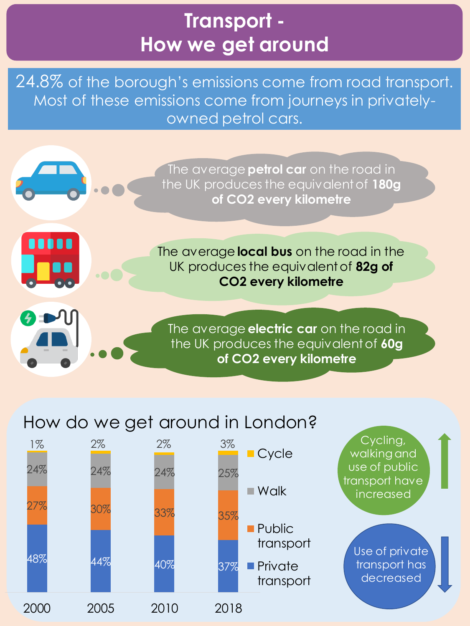### **Transport - How we get around**

24.8% of the borough's emissions come from road transport. Most of these emissions come from journeys in privatelyowned petrol cars.



### How do we get around in London?

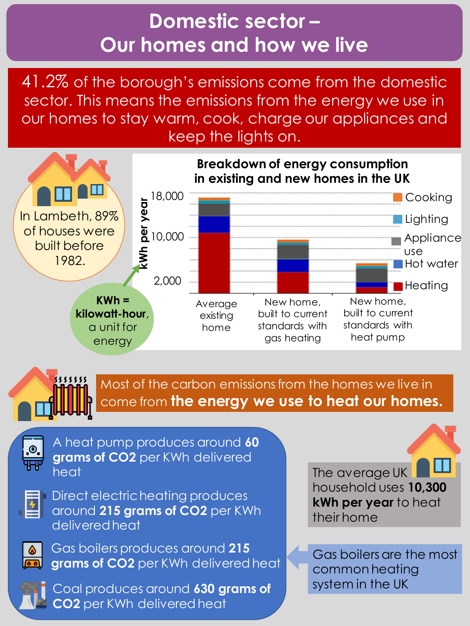### **Domestic sector – Our homes and how we live**

41.2% of the borough's emissions come from the domestic sector. This means the emissions from the energy we use in our homes to stay warm, cook, charge our appliances and keep the lights on.





Most of the carbon emissions from the homes we live in come from **the energy we use to heat our homes.**



A heat pump produces around **60 grams of CO2** per KWh delivered heat



Direct electric heating produces around **215 grams of CO2** per KWh delivered heat



Gas boilers produces around **215 grams of CO2** per KWh delivered heat



Coal produces around **630 grams of CO2** per KWh delivered heat

The average UK household uses **10,300 kWh per year** to heat their home

Gas boilers are the most common heating system in the UK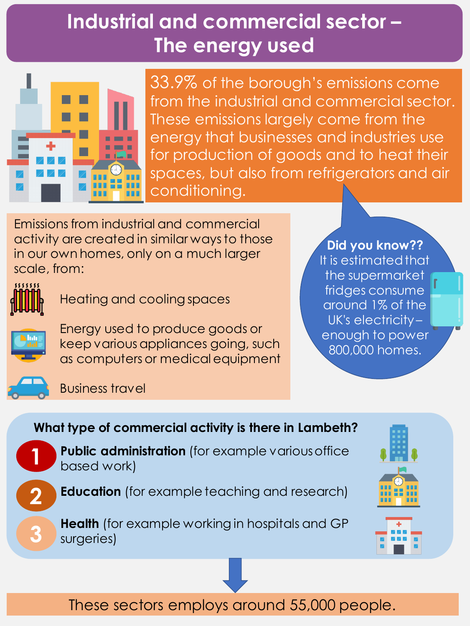## **Industrial and commercial sector – The energy used**



33.9% of the borough's emissions come from the industrial and commercial sector. These emissions largely come from the energy that businesses and industries use for production of goods and to heat their spaces, but also from refrigerators and air conditioning.

Emissions from industrial and commercial activity are created in similar ways to those in our own homes, only on a much larger scale, from:



Heating and cooling spaces



Energy used to produce goods or keep various appliances going, such as computers or medical equipment

#### **Did you know??**

It is estimated that the supermarket fridges consume around 1% of the UK's electricity – enough to power 800,000 homes.

Business travel

#### **What type of commercial activity is there in Lambeth?**



**2**

**3**

**Public administration** (for example various office based work)

**Education** (for example teaching and research)

**Health** (for example working in hospitals and GP surgeries)





These sectors employs around 55,000 people.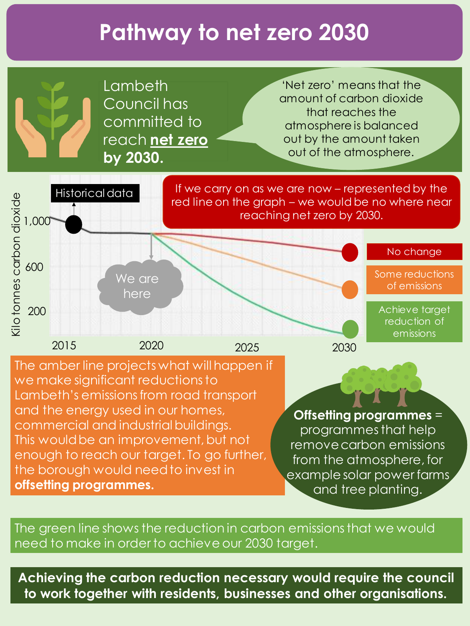# **Pathway to net zero 2030**

Lambeth Council has committed to reach **net zero by 2030.**

'Net zero' means that the amount of carbon dioxide that reaches the atmosphere is balanced out by the amount taken out of the atmosphere.



The amber line projects what will happen if we make significant reductions to Lambeth's emissions from road transport and the energy used in our homes, commercial and industrial buildings. This would be an improvement, but not enough to reach our target. To go further, the borough would need to invest in **offsetting programmes.** 

**Offsetting programmes** = programmes that help

remove carbon emissions from the atmosphere, for example solar power farms and tree planting.

The green line shows the reduction in carbon emissions that we would need to make in order to achieve our 2030 target.

**Achieving the carbon reduction necessary would require the council to work together with residents, businesses and other organisations.**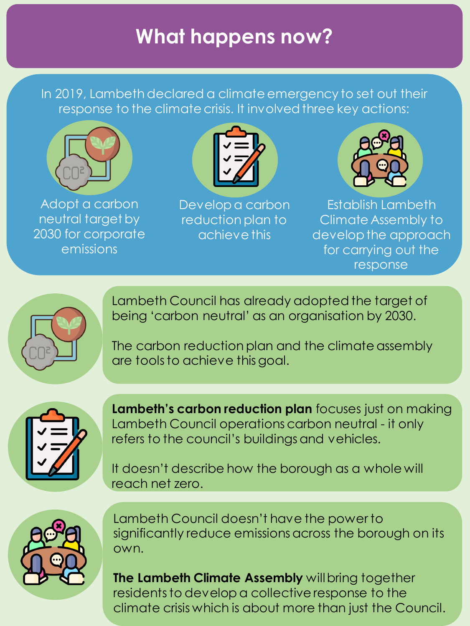## **What happens now?**

In 2019, Lambeth declared a climate emergency to set out their response to the climate crisis. It involved three key actions:



Adopt a carbon neutral target by 2030 for corporate emissions



Develop a carbon reduction plan to achieve this



Establish Lambeth Climate Assembly to develop the approach for carrying out the response



Lambeth Council has already adopted the target of being 'carbon neutral' as an organisation by 2030.

The carbon reduction plan and the climate assembly are tools to achieve this goal.



**Lambeth's carbon reduction plan** focuses just on making Lambeth Council operations carbon neutral - it only refers to the council's buildings and vehicles.

It doesn't describe how the borough as a whole will reach net zero.



Lambeth Council doesn't have the power to significantly reduce emissions across the borough on its own.

**The Lambeth Climate Assembly** will bring together residents to develop a collective response to the climate crisis which is about more than just the Council.